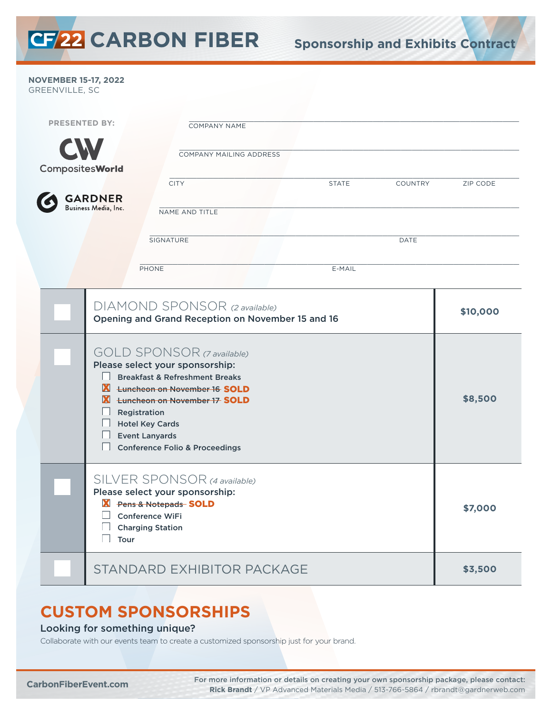**NOVEMBER 15-17, 2022**  GREENVILLE, SC

| <b>PRESENTED BY:</b>   |                                                                                                                                                        |                                                                                                                                                                                                                                                                                                                                                                                                                      | <b>COMPANY NAME</b> |              |                |                     |  |
|------------------------|--------------------------------------------------------------------------------------------------------------------------------------------------------|----------------------------------------------------------------------------------------------------------------------------------------------------------------------------------------------------------------------------------------------------------------------------------------------------------------------------------------------------------------------------------------------------------------------|---------------------|--------------|----------------|---------------------|--|
|                        |                                                                                                                                                        | COMPANY MAILING ADDRESS                                                                                                                                                                                                                                                                                                                                                                                              |                     |              |                |                     |  |
| <b>CompositesWorld</b> |                                                                                                                                                        | <b>CITY</b>                                                                                                                                                                                                                                                                                                                                                                                                          |                     | <b>STATE</b> | <b>COUNTRY</b> | <b>ZIP CODE</b>     |  |
|                        | <b>GARDNER</b><br>Business Media, Inc.                                                                                                                 | NAME AND TITLE                                                                                                                                                                                                                                                                                                                                                                                                       |                     |              |                |                     |  |
|                        |                                                                                                                                                        | SIGNATURE                                                                                                                                                                                                                                                                                                                                                                                                            |                     |              | DATE           |                     |  |
|                        |                                                                                                                                                        | PHONE                                                                                                                                                                                                                                                                                                                                                                                                                |                     | E-MAIL       |                |                     |  |
|                        |                                                                                                                                                        | DIAMOND SPONSOR (2 available)<br>Opening and Grand Reception on November 15 and 16<br><b>GOLD SPONSOR</b> (7 available)<br>Please select your sponsorship:<br><b>Breakfast &amp; Refreshment Breaks</b><br><b>X</b> <del>Luncheon on November 16</del> SOLD<br><b>X</b> tuncheon on November 17 SOLD<br>Registration<br><b>Hotel Key Cards</b><br><b>Event Lanyards</b><br><b>Conference Folio &amp; Proceedings</b> |                     |              |                | \$10,000<br>\$8,500 |  |
|                        | SILVER SPONSOR (4 available)<br>Please select your sponsorship:<br>Y Pens & Notepads SOLD<br><b>Conference WiFi</b><br><b>Charging Station</b><br>Tour |                                                                                                                                                                                                                                                                                                                                                                                                                      |                     |              |                | \$7,000             |  |
|                        | STANDARD EXHIBITOR PACKAGE                                                                                                                             |                                                                                                                                                                                                                                                                                                                                                                                                                      |                     |              |                | \$3,500             |  |

## **CUSTOM SPONSORSHIPS**

#### Looking for something unique?

Collaborate with our events team to create a customized sponsorship just for your brand.